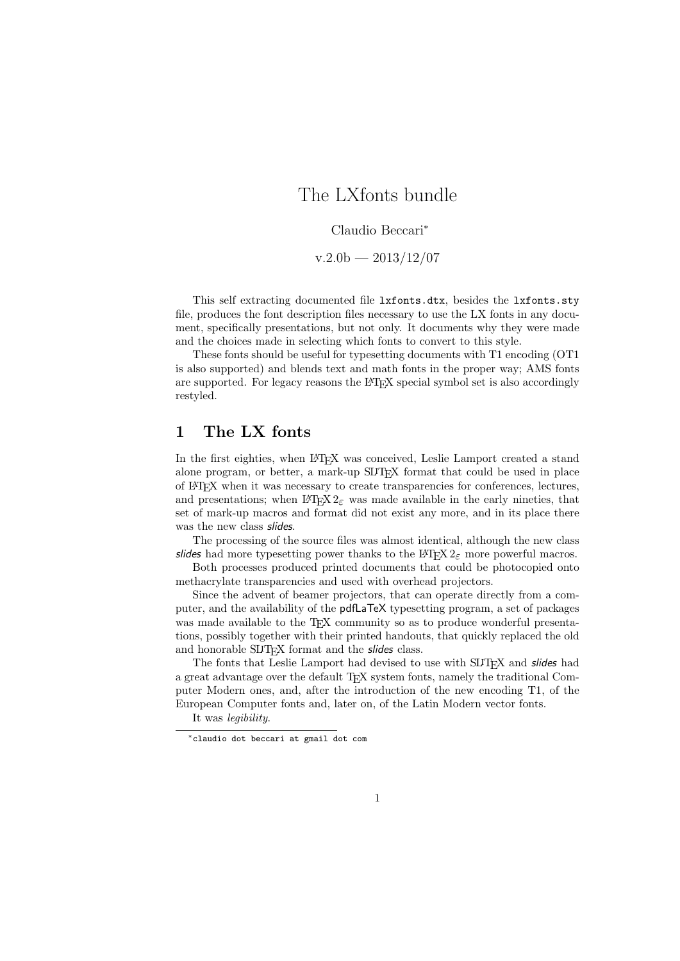# The LXfonts bundle

#### Claudio Beccari<sup>∗</sup>

 $v.2.0b - 2013/12/07$ 

This self extracting documented file lxfonts.dtx, besides the lxfonts.sty file, produces the font description files necessary to use the LX fonts in any document, specifically presentations, but not only. It documents why they were made and the choices made in selecting which fonts to convert to this style.

These fonts should be useful for typesetting documents with T1 encoding (OT1 is also supported) and blends text and math fonts in the proper way; AMS fonts are supported. For legacy reasons the LAT<sub>EX</sub> special symbol set is also accordingly restyled.

### 1 The LX fonts

In the first eighties, when IATEX was conceived, Leslie Lamport created a stand alone program, or better, a mark-up SLIT<sub>EX</sub> format that could be used in place of LATEX when it was necessary to create transparencies for conferences, lectures, and presentations; when  $\mathbb{P}T_F X 2_\varepsilon$  was made available in the early nineties, that set of mark-up macros and format did not exist any more, and in its place there was the new class slides.

The processing of the source files was almost identical, although the new class slides had more typesetting power thanks to the LAT<sub>E</sub>X  $2<sub>\epsilon</sub>$  more powerful macros.

Both processes produced printed documents that could be photocopied onto methacrylate transparencies and used with overhead projectors.

Since the advent of beamer projectors, that can operate directly from a computer, and the availability of the pdfLaTeX typesetting program, a set of packages was made available to the TEX community so as to produce wonderful presentations, possibly together with their printed handouts, that quickly replaced the old and honorable SLIT<sub>F</sub>X format and the *slides* class.

The fonts that Leslie Lamport had devised to use with SLTFX and slides had a great advantage over the default TFX system fonts, namely the traditional Computer Modern ones, and, after the introduction of the new encoding T1, of the European Computer fonts and, later on, of the Latin Modern vector fonts.

It was legibility.

<sup>∗</sup>claudio dot beccari at gmail dot com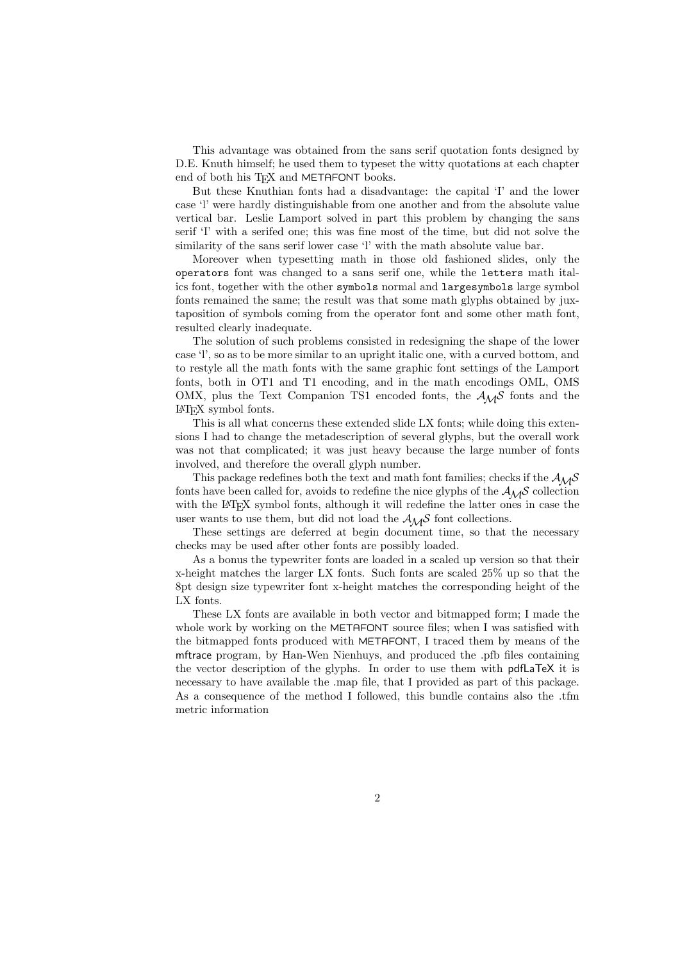This advantage was obtained from the sans serif quotation fonts designed by D.E. Knuth himself; he used them to typeset the witty quotations at each chapter end of both his TFX and METAFONT books.

But these Knuthian fonts had a disadvantage: the capital 'I' and the lower case 'l' were hardly distinguishable from one another and from the absolute value vertical bar. Leslie Lamport solved in part this problem by changing the sans serif 'I' with a serifed one; this was fine most of the time, but did not solve the similarity of the sans serif lower case 'l' with the math absolute value bar.

Moreover when typesetting math in those old fashioned slides, only the operators font was changed to a sans serif one, while the letters math italics font, together with the other symbols normal and largesymbols large symbol fonts remained the same; the result was that some math glyphs obtained by juxtaposition of symbols coming from the operator font and some other math font, resulted clearly inadequate.

The solution of such problems consisted in redesigning the shape of the lower case 'l', so as to be more similar to an upright italic one, with a curved bottom, and to restyle all the math fonts with the same graphic font settings of the Lamport fonts, both in OT1 and T1 encoding, and in the math encodings OML, OMS OMX, plus the Text Companion TS1 encoded fonts, the  $A_{\mathcal{M}}\mathcal{S}$  fonts and the LATEX symbol fonts.

This is all what concerns these extended slide LX fonts; while doing this extensions I had to change the metadescription of several glyphs, but the overall work was not that complicated; it was just heavy because the large number of fonts involved, and therefore the overall glyph number.

This package redefines both the text and math font families; checks if the  $A_{\mathcal{M}}\mathcal{S}$ fonts have been called for, avoids to redefine the nice glyphs of the  $A_{\mathcal{M}}\mathcal{S}$  collection with the L<sup>AT</sup>EX symbol fonts, although it will redefine the latter ones in case the user wants to use them, but did not load the  $A_{\mathcal{M}}\mathcal{S}$  font collections.

These settings are deferred at begin document time, so that the necessary checks may be used after other fonts are possibly loaded.

As a bonus the typewriter fonts are loaded in a scaled up version so that their x-height matches the larger LX fonts. Such fonts are scaled 25% up so that the 8pt design size typewriter font x-height matches the corresponding height of the LX fonts.

These LX fonts are available in both vector and bitmapped form; I made the whole work by working on the METAFONT source files; when I was satisfied with the bitmapped fonts produced with METAFONT, I traced them by means of the mftrace program, by Han-Wen Nienhuys, and produced the .pfb files containing the vector description of the glyphs. In order to use them with pdfLaTeX it is necessary to have available the .map file, that I provided as part of this package. As a consequence of the method I followed, this bundle contains also the .tfm metric information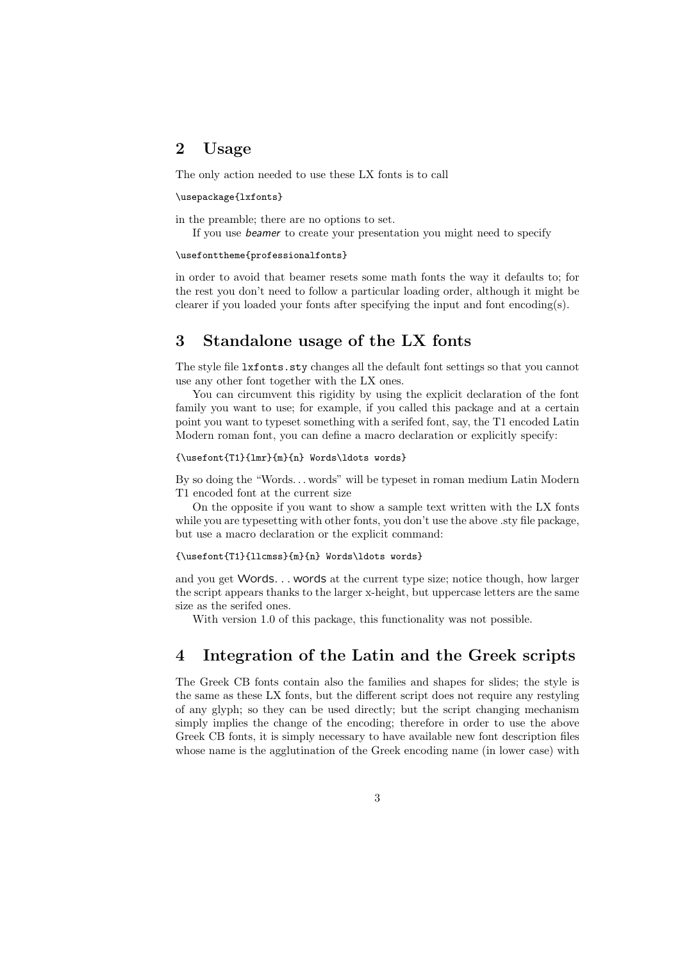## 2 Usage

The only action needed to use these LX fonts is to call

#### \usepackage{lxfonts}

in the preamble; there are no options to set.

If you use beamer to create your presentation you might need to specify

#### \usefonttheme{professionalfonts}

in order to avoid that beamer resets some math fonts the way it defaults to; for the rest you don't need to follow a particular loading order, although it might be clearer if you loaded your fonts after specifying the input and font encoding(s).

### 3 Standalone usage of the LX fonts

The style file lxfonts.sty changes all the default font settings so that you cannot use any other font together with the LX ones.

You can circumvent this rigidity by using the explicit declaration of the font family you want to use; for example, if you called this package and at a certain point you want to typeset something with a serifed font, say, the T1 encoded Latin Modern roman font, you can define a macro declaration or explicitly specify:

#### {\usefont{T1}{lmr}{m}{n} Words\ldots words}

By so doing the "Words. . . words" will be typeset in roman medium Latin Modern T1 encoded font at the current size

On the opposite if you want to show a sample text written with the LX fonts while you are typesetting with other fonts, you don't use the above .sty file package, but use a macro declaration or the explicit command:

#### {\usefont{T1}{llcmss}{m}{n} Words\ldots words}

and you get Words. . . words at the current type size; notice though, how larger the script appears thanks to the larger x-height, but uppercase letters are the same size as the serifed ones.

With version 1.0 of this package, this functionality was not possible.

## 4 Integration of the Latin and the Greek scripts

The Greek CB fonts contain also the families and shapes for slides; the style is the same as these LX fonts, but the different script does not require any restyling of any glyph; so they can be used directly; but the script changing mechanism simply implies the change of the encoding; therefore in order to use the above Greek CB fonts, it is simply necessary to have available new font description files whose name is the agglutination of the Greek encoding name (in lower case) with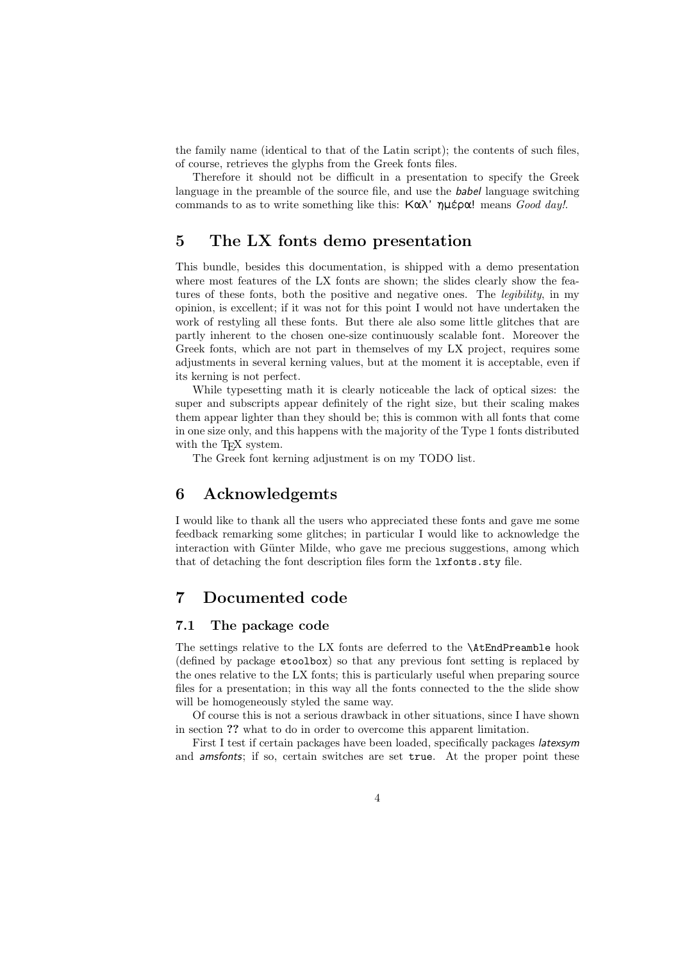the family name (identical to that of the Latin script); the contents of such files, of course, retrieves the glyphs from the Greek fonts files.

Therefore it should not be difficult in a presentation to specify the Greek language in the preamble of the source file, and use the **babel** language switching commands to as to write something like this: Καλ' ημέρα! means Good day!.

### 5 The LX fonts demo presentation

This bundle, besides this documentation, is shipped with a demo presentation where most features of the LX fonts are shown; the slides clearly show the features of these fonts, both the positive and negative ones. The *legibility*, in my opinion, is excellent; if it was not for this point I would not have undertaken the work of restyling all these fonts. But there ale also some little glitches that are partly inherent to the chosen one-size continuously scalable font. Moreover the Greek fonts, which are not part in themselves of my LX project, requires some adjustments in several kerning values, but at the moment it is acceptable, even if its kerning is not perfect.

While typesetting math it is clearly noticeable the lack of optical sizes: the super and subscripts appear definitely of the right size, but their scaling makes them appear lighter than they should be; this is common with all fonts that come in one size only, and this happens with the majority of the Type 1 fonts distributed with the T<sub>E</sub>X system.

The Greek font kerning adjustment is on my TODO list.

### 6 Acknowledgemts

I would like to thank all the users who appreciated these fonts and gave me some feedback remarking some glitches; in particular I would like to acknowledge the interaction with Günter Milde, who gave me precious suggestions, among which that of detaching the font description files form the lxfonts.sty file.

## 7 Documented code

#### 7.1 The package code

The settings relative to the LX fonts are deferred to the \AtEndPreamble hook (defined by package etoolbox) so that any previous font setting is replaced by the ones relative to the LX fonts; this is particularly useful when preparing source files for a presentation; in this way all the fonts connected to the the slide show will be homogeneously styled the same way.

Of course this is not a serious drawback in other situations, since I have shown in section ?? what to do in order to overcome this apparent limitation.

First I test if certain packages have been loaded, specifically packages latexsym and amsfonts; if so, certain switches are set true. At the proper point these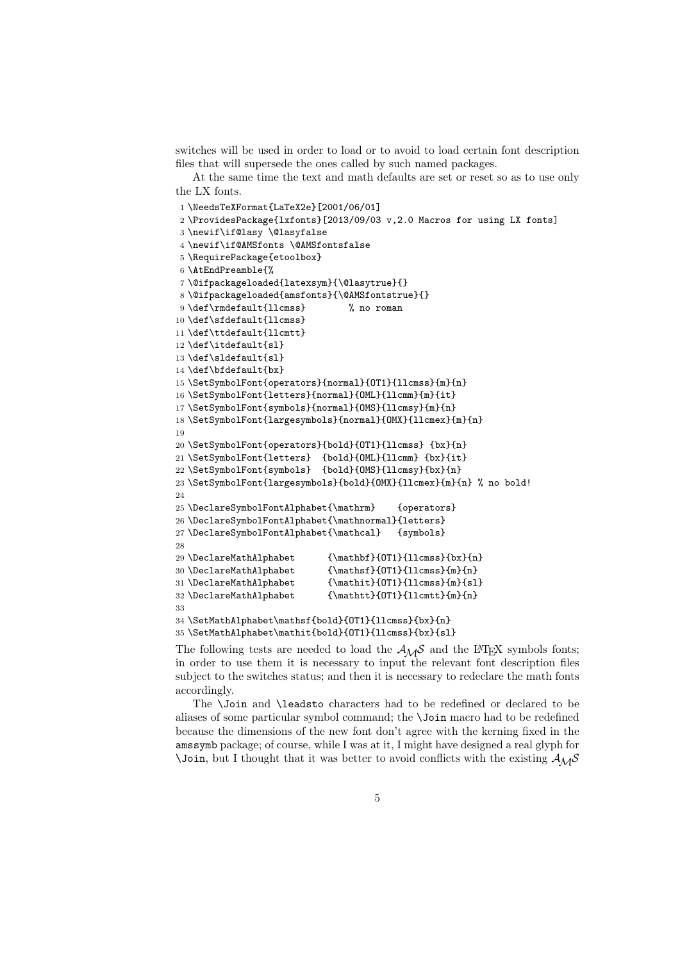switches will be used in order to load or to avoid to load certain font description files that will supersede the ones called by such named packages.

At the same time the text and math defaults are set or reset so as to use only the LX fonts.

```
1 \NeedsTeXFormat{LaTeX2e}[2001/06/01]
2 \ProvidesPackage{lxfonts}[2013/09/03 v,2.0 Macros for using LX fonts]
3 \newif\if@lasy \@lasyfalse
4 \newif\if@AMSfonts \@AMSfontsfalse
5 \RequirePackage{etoolbox}
6 \AtEndPreamble{%
7 \@ifpackageloaded{latexsym}{\@lasytrue}{}
8 \@ifpackageloaded{amsfonts}{\@AMSfontstrue}{}
9 \def\rmdefault{llcmss} % no roman
10 \def\sfdefault{llcmss}
11 \def\ttdefault{llcmtt}
12 \def\itdefault{sl}
13 \def\sldefault{sl}
14 \def\bfdefault{bx}
15 \SetSymbolFont{operators}{normal}{OT1}{llcmss}{m}{n}
16 \SetSymbolFont{letters}{normal}{OML}{llcmm}{m}{it}
17 \SetSymbolFont{symbols}{normal}{OMS}{llcmsy}{m}{n}
18 \SetSymbolFont{largesymbols}{normal}{OMX}{llcmex}{m}{n}
19
20 \SetSymbolFont{operators}{bold}{OT1}{llcmss} {bx}{n}
21 \SetSymbolFont{letters} {bold}{OML}{llcmm} {bx}{it}
22 \SetSymbolFont{symbols} {bold}{OMS}{llcmsy}{bx}{n}
23 \SetSymbolFont{largesymbols}{bold}{OMX}{llcmex}{m}{n} % no bold!
24
25 \DeclareSymbolFontAlphabet{\mathrm} {operators}
26 \DeclareSymbolFontAlphabet{\mathnormal}{letters}
27 \DeclareSymbolFontAlphabet{\mathcal} {symbols}
28
29 \DeclareMathAlphabet {\mathbf}{OT1}{llcmss}{bx}{n}
30 \DeclareMathAlphabet {\mathsf}{OT1}{llcmss}{m}{n}
31 \DeclareMathAlphabet {\mathit}{OT1}{llcmss}{m}{sl}
32 \DeclareMathAlphabet {\mathtt}{OT1}{llcmtt}{m}{n}
33
34 \SetMathAlphabet\mathsf{bold}{OT1}{llcmss}{bx}{n}
35 \SetMathAlphabet\mathit{bold}{OT1}{llcmss}{bx}{sl}
```
The following tests are needed to load the  $A_{\mathcal{M}}\mathcal{S}$  and the L<sup>AT</sup>EX symbols fonts; in order to use them it is necessary to input the relevant font description files subject to the switches status; and then it is necessary to redeclare the math fonts accordingly.

The \Join and \leadsto characters had to be redefined or declared to be aliases of some particular symbol command; the \Join macro had to be redefined because the dimensions of the new font don't agree with the kerning fixed in the amssymb package; of course, while I was at it, I might have designed a real glyph for  $\lambda$ Join, but I thought that it was better to avoid conflicts with the existing  $A_{\mathcal{M}}\mathcal{S}$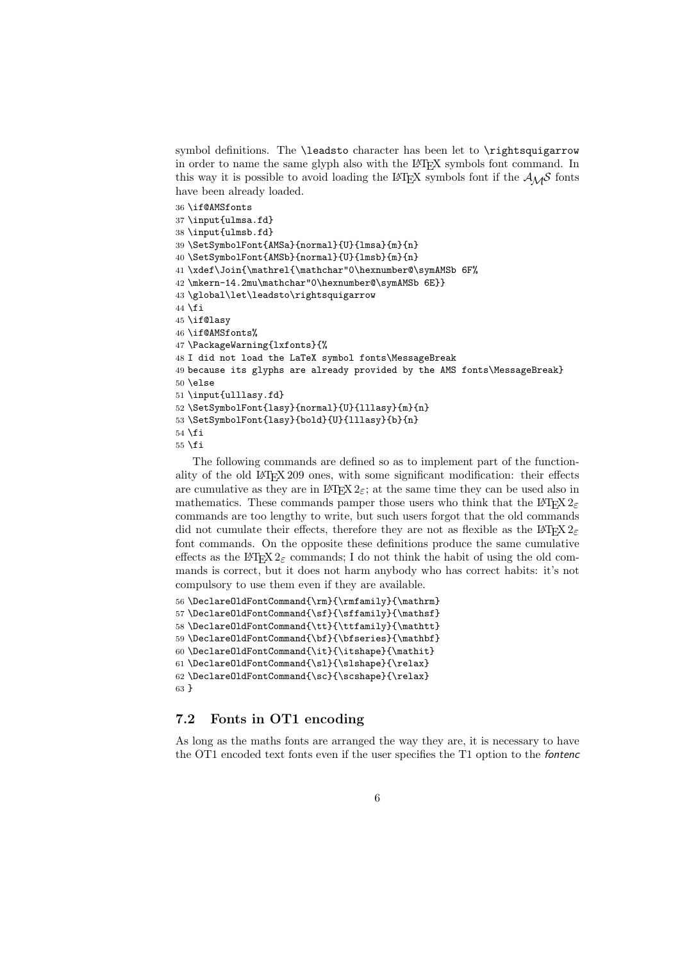symbol definitions. The \leadsto character has been let to \rightsquigarrow in order to name the same glyph also with the LATEX symbols font command. In this way it is possible to avoid loading the LATEX symbols font if the  $A_{\mathcal{M}}\mathcal{S}$  fonts have been already loaded.

```
36 \if@AMSfonts
37 \input{ulmsa.fd}
38 \input{ulmsb.fd}
39 \SetSymbolFont{AMSa}{normal}{U}{lmsa}{m}{n}
40 \ \text{SetSymbolFont}\{AMSb\} \{normal\{U\}\{lmsb\}\{m\}\{n\}41 \xdef\Join{\mathrel{\mathchar"0\hexnumber@\symAMSb 6F%
42 \mkern-14.2mu\mathchar"0\hexnumber@\symAMSb 6E}}
43 \global\let\leadsto\rightsquigarrow
44 \fi
45 \if@lasy
46 \if@AMSfonts%
47 \PackageWarning{lxfonts}{%
48 I did not load the LaTeX symbol fonts\MessageBreak
49 because its glyphs are already provided by the AMS fonts\MessageBreak}
50 \else
51 \input{ulllasy.fd}
52 \SetSymbolFont{lasy}{normal}{U}{lllasy}{m}{n}
53 \SetSymbolFont{lasy}{bold}{U}{lllasy}{b}{n}
54 \fi
55 \fi
```
The following commands are defined so as to implement part of the functionality of the old LATEX 209 ones, with some significant modification: their effects are cumulative as they are in LATEX  $2\varepsilon$ ; at the same time they can be used also in mathematics. These commands pamper those users who think that the LATEX  $2\varepsilon$ commands are too lengthy to write, but such users forgot that the old commands did not cumulate their effects, therefore they are not as flexible as the LAT<sub>E</sub>X  $2\varepsilon$ font commands. On the opposite these definitions produce the same cumulative effects as the LAT<sub>EX</sub> 2<sub> $\epsilon$ </sub> commands; I do not think the habit of using the old commands is correct, but it does not harm anybody who has correct habits: it's not compulsory to use them even if they are available.

```
56\DeclareOldFontCommand{\rm}{\rmfamily}{\mathrm}
57 \DeclareOldFontCommand{\sf}{\sffamily}{\mathsf}
58\Declare0ldFontCommand{\tt}{\ttfamily}{\mathtt}
59\DeclareOldFontCommand{\bf}{\bfseries}{\mathbf}
60 \DeclareOldFontCommand{\it}{\itshape}{\mathit}
61 \DeclareOldFontCommand{\sl}{\slshape}{\relax}
62 \DeclareOldFontCommand{\sc}{\scshape}{\relax}
63 }
```
### 7.2 Fonts in OT1 encoding

As long as the maths fonts are arranged the way they are, it is necessary to have the OT1 encoded text fonts even if the user specifies the T1 option to the fontenc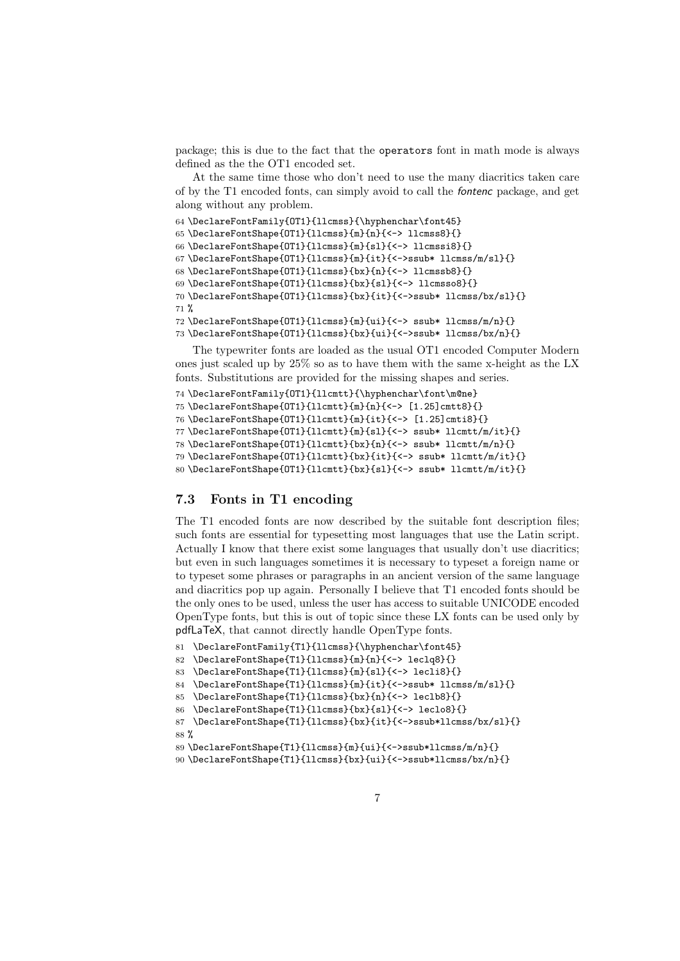package; this is due to the fact that the operators font in math mode is always defined as the the OT1 encoded set.

At the same time those who don't need to use the many diacritics taken care of by the T1 encoded fonts, can simply avoid to call the fontenc package, and get along without any problem.

```
64 \DeclareFontFamily{OT1}{llcmss}{\hyphenchar\font45}
```

```
65 \DeclareFontShape{OT1}{llcmss}{m}{n}{<-> llcmss8}{}
66 \DeclareFontShape{OT1}{llcmss}{m}{sl}{<-> llcmssi8}{}
67 \DeclareFontShape{OT1}{llcmss}{m}{it}{<->ssub* llcmss/m/sl}{}
68 \DeclareFontShape{OT1}{llcmss}{bx}{n}{<-> llcmssb8}{}
69 \DeclareFontShape{OT1}{llcmss}{bx}{sl}{<-> llcmsso8}{}
70 \DeclareFontShape{OT1}{llcmss}{bx}{it}{<->ssub* llcmss/bx/sl}{}
```
%

```
72 \DeclareFontShape{OT1}{llcmss}{m}{ui}{<-> ssub* llcmss/m/n}{}
73 \DeclareFontShape{OT1}{llcmss}{bx}{ui}{<->ssub* llcmss/bx/n}{}
```
The typewriter fonts are loaded as the usual OT1 encoded Computer Modern ones just scaled up by 25% so as to have them with the same x-height as the LX fonts. Substitutions are provided for the missing shapes and series.

```
74 \DeclareFontFamily{OT1}{llcmtt}{\hyphenchar\font\m@ne}
75 \DeclareFontShape{OT1}{llcmtt}{m}{n}{<-> [1.25]cmtt8}{}
76 \DeclareFontShape{OT1}{llcmtt}{m}{it}{<-> [1.25]cmti8}{}
77 \DeclareFontShape{OT1}{llcmtt}{m}{sl}{<-> ssub* llcmtt/m/it}{}
78 \DeclareFontShape{OT1}{llcmtt}{bx}{n}{<-> ssub* llcmtt/m/n}{}
79 \DeclareFontShape{OT1}{llcmtt}{bx}{it}{<-> ssub* llcmtt/m/it}{}
80 \DeclareFontShape{OT1}{llcmtt}{bx}{sl}{<-> ssub* llcmtt/m/it}{}
```
#### 7.3 Fonts in T1 encoding

The T1 encoded fonts are now described by the suitable font description files; such fonts are essential for typesetting most languages that use the Latin script. Actually I know that there exist some languages that usually don't use diacritics; but even in such languages sometimes it is necessary to typeset a foreign name or to typeset some phrases or paragraphs in an ancient version of the same language and diacritics pop up again. Personally I believe that T1 encoded fonts should be the only ones to be used, unless the user has access to suitable UNICODE encoded OpenType fonts, but this is out of topic since these LX fonts can be used only by pdfLaTeX, that cannot directly handle OpenType fonts.

```
81 \DeclareFontFamily{T1}{llcmss}{\hyphenchar\font45}
```

```
82 \DeclareFontShape{T1}{llcmss}{m}{n}{<-> leclq8}{}
```

```
83 \DeclareFontShape{T1}{llcmss}{m}{sl}{<-> lecli8}{}
```

```
84 \DeclareFontShape{T1}{llcmss}{m}{it}{<->ssub* llcmss/m/sl}{}
```

```
85 \DeclareFontShape{T1}{llcmss}{bx}{n}{<-> leclb8}{}
```

```
86 \DeclareFontShape{T1}{llcmss}{bx}{sl}{<-> leclo8}{}
```

```
87 \DeclareFontShape{T1}{llcmss}{bx}{it}{<->ssub*llcmss/bx/sl}{}
88 %
```
\DeclareFontShape{T1}{llcmss}{m}{ui}{<->ssub\*llcmss/m/n}{}

```
90 \DeclareFontShape{T1}{llcmss}{bx}{ui}{<->ssub*llcmss/bx/n}{}
```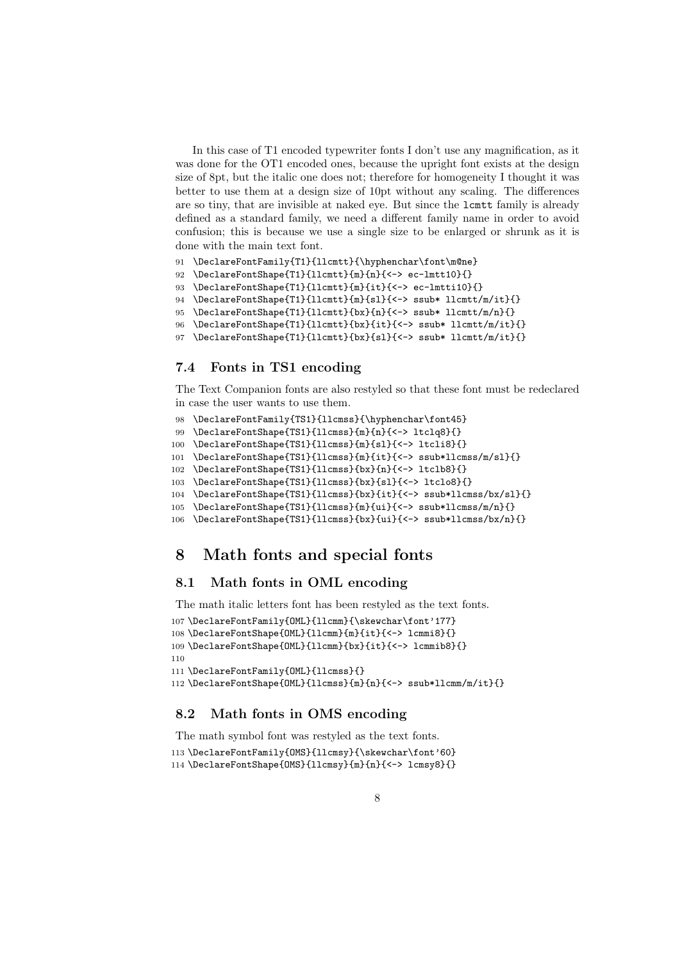In this case of T1 encoded typewriter fonts I don't use any magnification, as it was done for the OT1 encoded ones, because the upright font exists at the design size of 8pt, but the italic one does not; therefore for homogeneity I thought it was better to use them at a design size of 10pt without any scaling. The differences are so tiny, that are invisible at naked eye. But since the lcmtt family is already defined as a standard family, we need a different family name in order to avoid confusion; this is because we use a single size to be enlarged or shrunk as it is done with the main text font.

```
91 \DeclareFontFamily{T1}{llcmtt}{\hyphenchar\font\m@ne}
```

```
92 \DeclareFontShape{T1}{llcmtt}{m}{n}{<-> ec-lmtt10}{}
```

```
93 \DeclareFontShape{T1}{llcmtt}{m}{it}{<-> ec-lmtti10}{}
```

```
94 \DeclareFontShape{T1}{llcmtt}{m}{sl}{<-> ssub* llcmtt/m/it}{}
```

```
95 \DeclareFontShape{T1}{llcmtt}{bx}{n}{<-> ssub* llcmtt/m/n}{}
```

```
96 \DeclareFontShape{T1}{llcmtt}{bx}{it}{<-> ssub* llcmtt/m/it}{}
```

```
97 \DeclareFontShape{T1}{llcmtt}{bx}{sl}{<-> ssub* llcmtt/m/it}{}
```
#### 7.4 Fonts in TS1 encoding

The Text Companion fonts are also restyled so that these font must be redeclared in case the user wants to use them.

```
98 \DeclareFontFamily{TS1}{llcmss}{\hyphenchar\font45}
```

```
99 \DeclareFontShape{TS1}{llcmss}{m}{n}{<-> ltclq8}{}
```

```
100 \DeclareFontShape{TS1}{llcmss}{m}{sl}{<-> ltcli8}{}
```

```
101 \DeclareFontShape{TS1}{llcmss}{m}{it}{<-> ssub*llcmss/m/sl}{}
```

```
102 \DeclareFontShape{TS1}{llcmss}{bx}{n}{<-> ltclb8}{}
```

```
103 \DeclareFontShape{TS1}{llcmss}{bx}{sl}{<-> ltclo8}{}
```

```
104 \DeclareFontShape{TS1}{llcmss}{bx}{it}{<-> ssub*llcmss/bx/sl}{}
```

```
105 \DeclareFontShape{TS1}{llcmss}{m}{ui}{<-> ssub*llcmss/m/n}{}
```

```
106 \DeclareFontShape{TS1}{llcmss}{bx}{ui}{<-> ssub*llcmss/bx/n}{}
```
## 8 Math fonts and special fonts

#### 8.1 Math fonts in OML encoding

The math italic letters font has been restyled as the text fonts.

```
107\DeclareFontFamily{OML}{llcmm}{\skewchar\font'177}
```

```
108 \DeclareFontShape{OML}{llcmm}{m}{it}{<-> lcmmi8}{}
```

```
109 \DeclareFontShape{OML}{llcmm}{bx}{it}{<-> lcmmib8}{}
```

```
110
```

```
111 \DeclareFontFamily{OML}{llcmss}{}
```

```
112 \DeclareFontShape{OML}{llcmss}{m}{n}{<-> ssub*llcmm/m/it}{}
```
### 8.2 Math fonts in OMS encoding

The math symbol font was restyled as the text fonts.

```
113 \DeclareFontFamily{OMS}{llcmsy}{\skewchar\font'60}
```

```
114 \DeclareFontShape{OMS}{llcmsy}{m}{n}{<-> lcmsy8}{}
```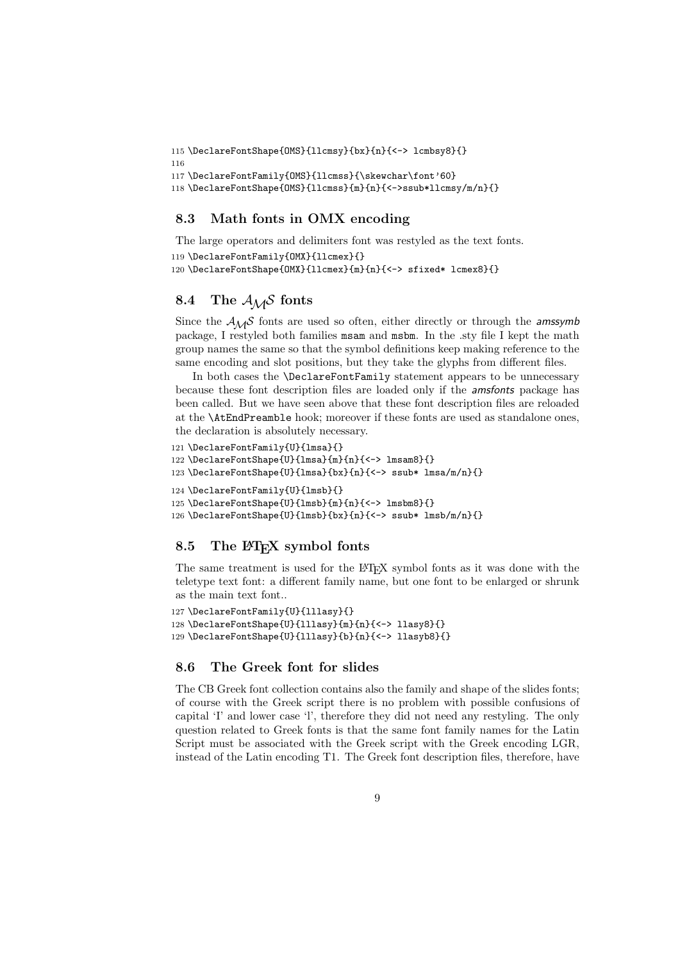115 \DeclareFontShape{OMS}{llcmsy}{bx}{n}{<-> lcmbsy8}{}

116

```
117 \DeclareFontFamily{OMS}{llcmss}{\skewchar\font'60}
```
118 \DeclareFontShape{OMS}{llcmss}{m}{n}{<->ssub\*llcmsy/m/n}{}

### 8.3 Math fonts in OMX encoding

The large operators and delimiters font was restyled as the text fonts. 119 \DeclareFontFamily{OMX}{llcmex}{} 120 \DeclareFontShape{OMX}{llcmex}{m}{n}{<-> sfixed\* lcmex8}{}

### 8.4 The  $A_{\mathcal{M}}\mathcal{S}$  fonts

Since the  $A_{\mathcal{M}}\mathcal{S}$  fonts are used so often, either directly or through the amssymb package, I restyled both families msam and msbm. In the .sty file I kept the math group names the same so that the symbol definitions keep making reference to the same encoding and slot positions, but they take the glyphs from different files.

In both cases the \DeclareFontFamily statement appears to be unnecessary because these font description files are loaded only if the amsfonts package has been called. But we have seen above that these font description files are reloaded at the \AtEndPreamble hook; moreover if these fonts are used as standalone ones, the declaration is absolutely necessary.

```
121 \DeclareFontFamily{U}{lmsa}{}
```

```
122 \DeclareFontShape{U}{lmsa}{m}{n}{<-> lmsam8}{}
```
123 \DeclareFontShape{U}{lmsa}{bx}{n}{<-> ssub\* lmsa/m/n}{}

```
124 \DeclareFontFamily{U}{lmsb}{}
```

```
125 \DeclareFontShape{U}{lmsb}{m}{n}{<-> lmsbm8}{}
```
126 \DeclareFontShape{U}{lmsb}{bx}{n}{<-> ssub\* lmsb/m/n}{}

### 8.5 The LAT<sub>EX</sub> symbol fonts

The same treatment is used for the LATEX symbol fonts as it was done with the teletype text font: a different family name, but one font to be enlarged or shrunk as the main text font..

```
127 \DeclareFontFamily{U}{lllasy}{}
128 \DeclareFontShape{U}{lllasy}{m}{n}{<-> llasy8}{}
129 \DeclareFontShape{U}{lllasy}{b}{n}{<-> llasyb8}{}
```
### 8.6 The Greek font for slides

The CB Greek font collection contains also the family and shape of the slides fonts; of course with the Greek script there is no problem with possible confusions of capital 'I' and lower case 'l', therefore they did not need any restyling. The only question related to Greek fonts is that the same font family names for the Latin Script must be associated with the Greek script with the Greek encoding LGR, instead of the Latin encoding T1. The Greek font description files, therefore, have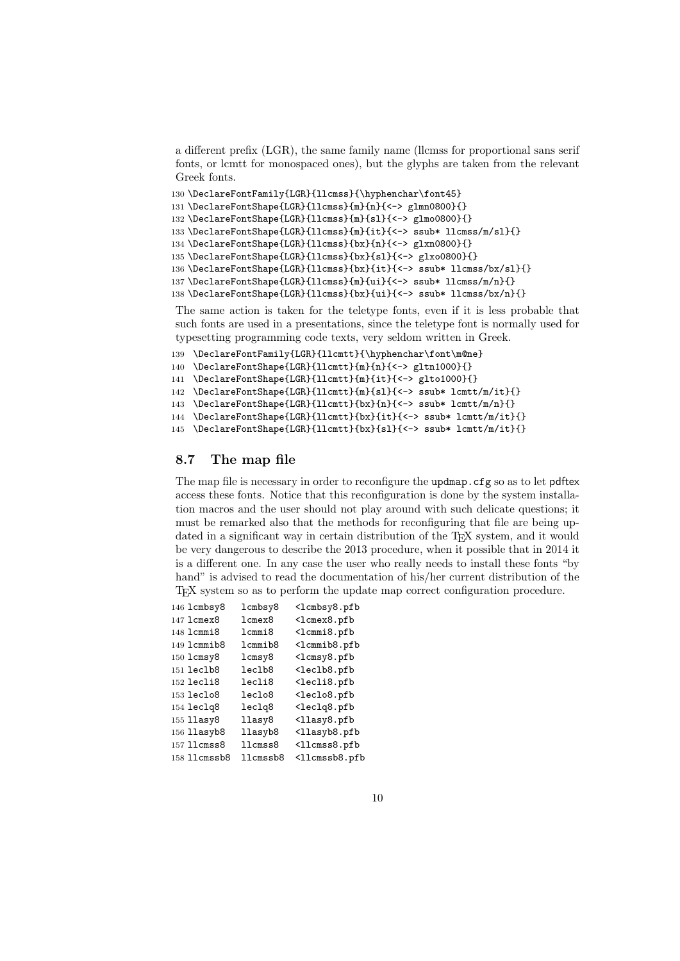a different prefix (LGR), the same family name (llcmss for proportional sans serif fonts, or lcmtt for monospaced ones), but the glyphs are taken from the relevant Greek fonts.

```
130 \DeclareFontFamily{LGR}{llcmss}{\hyphenchar\font45}
131 \DeclareFontShape{LGR}{llcmss}{m}{n}{<-> glmn0800}{}
132 \DeclareFontShape{LGR}{llcmss}{m}{sl}{<-> glmo0800}{}
133 \DeclareFontShape{LGR}{llcmss}{m}{it}{<-> ssub* llcmss/m/sl}{}
134 \DeclareFontShape{LGR}{llcmss}{bx}{n}{<-> glxn0800}{}
135 \DeclareFontShape{LGR}{llcmss}{bx}{sl}{<-> glxo0800}{}
136 \DeclareFontShape{LGR}{llcmss}{bx}{it}{<-> ssub* llcmss/bx/sl}{}
137 \DeclareFontShape{LGR}{llcmss}{m}{ui}{<-> ssub* llcmss/m/n}{}
138 \DeclareFontShape{LGR}{llcmss}{bx}{ui}{<-> ssub* llcmss/bx/n}{}
```
The same action is taken for the teletype fonts, even if it is less probable that such fonts are used in a presentations, since the teletype font is normally used for typesetting programming code texts, very seldom written in Greek.

```
139 \DeclareFontFamily{LGR}{llcmtt}{\hyphenchar\font\m@ne}
```

```
140 \DeclareFontShape{LGR}{llcmtt}{m}{n}{<-> gltn1000}{}
```
\DeclareFontShape{LGR}{llcmtt}{m}{it}{<-> glto1000}{}

\DeclareFontShape{LGR}{llcmtt}{m}{sl}{<-> ssub\* lcmtt/m/it}{}

```
143 \DeclareFontShape{LGR}{llcmtt}{bx}{n}{<-> ssub* lcmtt/m/n}{}
```
\DeclareFontShape{LGR}{llcmtt}{bx}{it}{<-> ssub\* lcmtt/m/it}{}

```
145 \DeclareFontShape{LGR}{llcmtt}{bx}{sl}{<-> ssub* lcmtt/m/it}{}
```
#### 8.7 The map file

The map file is necessary in order to reconfigure the updmap.cfg so as to let pdftex access these fonts. Notice that this reconfiguration is done by the system installation macros and the user should not play around with such delicate questions; it must be remarked also that the methods for reconfiguring that file are being updated in a significant way in certain distribution of the T<sub>E</sub>X system, and it would be very dangerous to describe the 2013 procedure, when it possible that in 2014 it is a different one. In any case the user who really needs to install these fonts "by hand" is advised to read the documentation of his/her current distribution of the TEX system so as to perform the update map correct configuration procedure.

| 146 lcmbsy8  | lcmbsy8               | <lcmbsy8.pfb< th=""></lcmbsy8.pfb<>   |
|--------------|-----------------------|---------------------------------------|
| 147 lcmex8   | lcmex8                | <lcmex8.pfb< th=""></lcmex8.pfb<>     |
| 148 lcmmi8   | 1cmmi8                | <lcmmi8.pfb< th=""></lcmmi8.pfb<>     |
| 149 lcmmib8  | 1 cmmib8              | <lcmmib8.pfb< th=""></lcmmib8.pfb<>   |
| 150 lcmsy8   | $lcms$ <sub>y</sub> 8 | <lcmsy8.pfb< th=""></lcmsy8.pfb<>     |
| 151 leclb8   | leclb8                | <leclb8.pfb< td=""></leclb8.pfb<>     |
| 152 lecli8   | lecli8                | <lecli8.pfb< td=""></lecli8.pfb<>     |
| 153 leclo8   | leclo8                | <leclo8.pfb< td=""></leclo8.pfb<>     |
| 154 leclq8   | leclg8                | <leclq8.pfb< td=""></leclq8.pfb<>     |
| 155 11asy8   | llasy8                | <llasy8.pfb< td=""></llasy8.pfb<>     |
| 156 llasyb8  | llasyb8               | <llasyb8.pfb< th=""></llasyb8.pfb<>   |
| 157 llcmss8  | $11$ cmss $8$         | <llcmss8.pfb< td=""></llcmss8.pfb<>   |
| 158 llcmssb8 | $11$ cmssb $8$        | <llcmssb8.pfb< th=""></llcmssb8.pfb<> |
|              |                       |                                       |